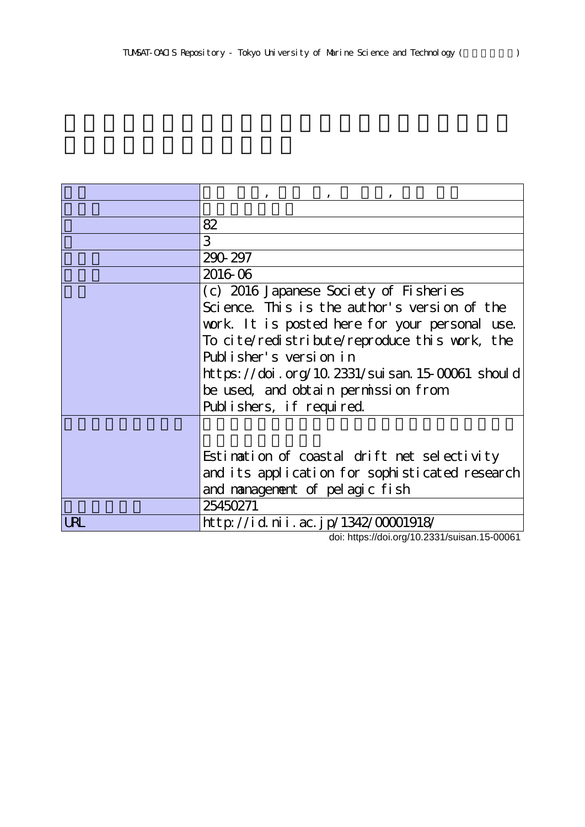|     | 82                                             |
|-----|------------------------------------------------|
|     | 3                                              |
|     | 290-297                                        |
|     | 2016-06                                        |
|     | (c) 2016 Japanese Society of Fisheries         |
|     | Science. This is the author's version of the   |
|     | work. It is posted here for your personal use. |
|     | To cite/redistribute/reproduce this work, the  |
|     | Publisher's version in                         |
|     | https://doi.org/10.2331/suisan.15-00061 should |
|     | be used, and obtain permission from            |
|     | Publishers, if required.                       |
|     |                                                |
|     |                                                |
|     | Estimation of coastal drift net selectivity    |
|     | and its application for sophisticated research |
|     | and nanagement of pelagic fish                 |
|     | 25450271                                       |
| URL | http://id.nii.ac.jp/1342/00001918/             |

doi: https://doi.org/10.2331/suisan.15-00061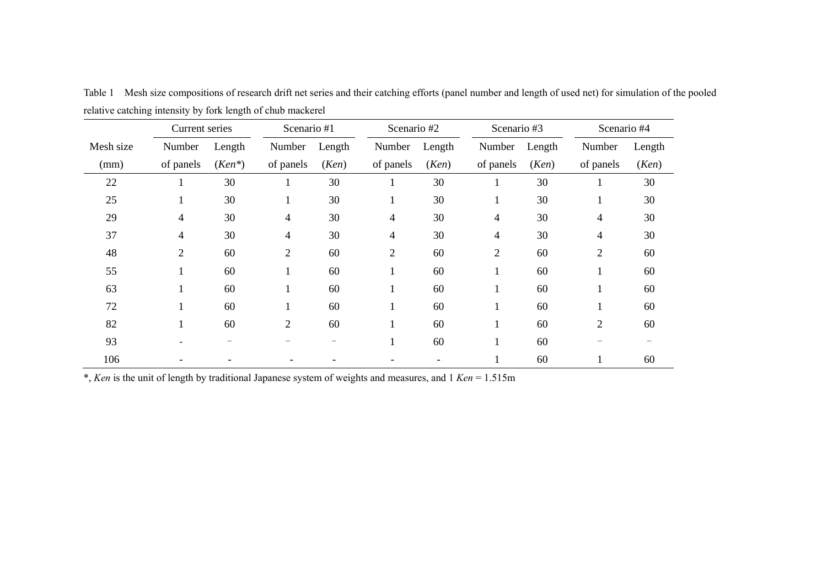|           | Current series |           | Scenario #1    |        | Scenario #2    |        | Scenario #3    |        | Scenario #4    |        |
|-----------|----------------|-----------|----------------|--------|----------------|--------|----------------|--------|----------------|--------|
| Mesh size | Number         | Length    | Number         | Length | Number         | Length | Number         | Length | Number         | Length |
| (mm)      | of panels      | $(Ken^*)$ | of panels      | (Ken)  | of panels      | (Ken)  | of panels      | (Ken)  | of panels      | (Ken)  |
| 22        |                | 30        |                | 30     |                | 30     |                | 30     |                | 30     |
| 25        | $\perp$        | 30        | $\mathbf{I}$   | 30     |                | 30     | $\bf{I}$       | 30     |                | 30     |
| 29        | $\overline{4}$ | 30        | $\overline{4}$ | 30     | 4              | 30     | 4              | 30     | 4              | 30     |
| 37        | $\overline{4}$ | 30        | $\overline{4}$ | 30     | 4              | 30     | 4              | 30     | 4              | 30     |
| 48        | $\overline{2}$ | 60        | $\overline{2}$ | 60     | $\overline{2}$ | 60     | $\overline{c}$ | 60     | $\overline{2}$ | 60     |
| 55        | 1              | 60        | $\mathbf{I}$   | 60     |                | 60     |                | 60     |                | 60     |
| 63        |                | 60        | $\bf{l}$       | 60     |                | 60     |                | 60     |                | 60     |
| 72        |                | 60        |                | 60     |                | 60     |                | 60     |                | 60     |
| 82        | $\mathbf{I}$   | 60        | $\overline{2}$ | 60     |                | 60     |                | 60     | $\overline{2}$ | 60     |
| 93        |                | —         |                |        |                | 60     |                | 60     |                |        |
| 106       |                |           |                |        |                |        |                | 60     |                | 60     |

Table 1 Mesh size compositions of research drift net series and their catching efforts (panel number and length of used net) for simulation of the pooled relative catching intensity by fork length of chub mackerel  $\overline{\phantom{a}}$ 

\*, *Ken* is the unit of length by traditional Japanese system of weights and measures, and 1 *Ken* = 1.515m